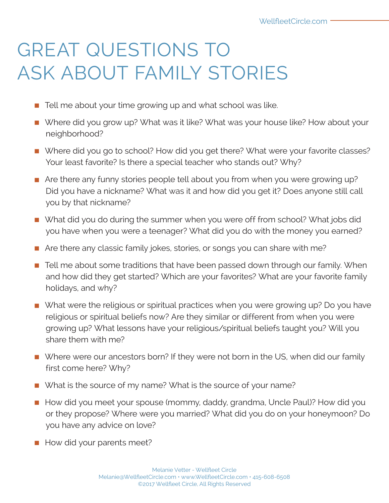## GREAT QUESTIONS TO ASK ABOUT FAMILY STORIES

- Tell me about your time growing up and what school was like.
- Where did you grow up? What was it like? What was your house like? How about your neighborhood?
- Where did you go to school? How did you get there? What were your favorite classes? Your least favorite? Is there a special teacher who stands out? Why?
- Are there any funny stories people tell about you from when you were growing up? Did you have a nickname? What was it and how did you get it? Does anyone still call you by that nickname?
- What did you do during the summer when you were off from school? What jobs did you have when you were a teenager? What did you do with the money you earned?
- Are there any classic family jokes, stories, or songs you can share with me?
- Tell me about some traditions that have been passed down through our family. When and how did they get started? Which are your favorites? What are your favorite family holidays, and why?
- What were the religious or spiritual practices when you were growing up? Do you have religious or spiritual beliefs now? Are they similar or different from when you were growing up? What lessons have your religious/spiritual beliefs taught you? Will you share them with me?
- Where were our ancestors born? If they were not born in the US, when did our family first come here? Why?
- What is the source of my name? What is the source of your name?
- **E** How did you meet your spouse (mommy, daddy, grandma, Uncle Paul)? How did you or they propose? Where were you married? What did you do on your honeymoon? Do you have any advice on love?
- How did your parents meet?